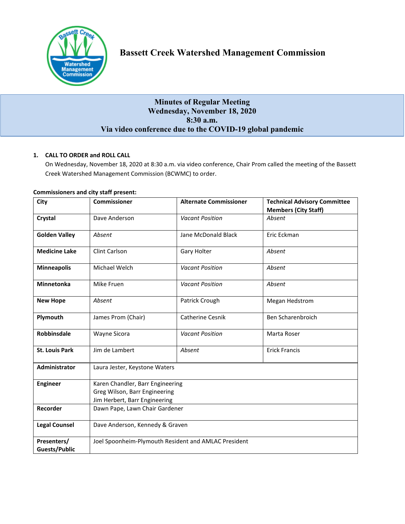

# **Bassett Creek Watershed Management Commission**

# **Minutes of Regular Meeting Wednesday, November 18, 2020 8:30 a.m. Via video conference due to the COVID-19 global pandemic**

# **1. CALL TO ORDER and ROLL CALL**

On Wednesday, November 18, 2020 at 8:30 a.m. via video conference, Chair Prom called the meeting of the Bassett Creek Watershed Management Commission (BCWMC) to order.

| City                  | <b>Commissioner</b>                                  | <b>Alternate Commissioner</b> | <b>Technical Advisory Committee</b> |
|-----------------------|------------------------------------------------------|-------------------------------|-------------------------------------|
|                       |                                                      |                               | <b>Members (City Staff)</b>         |
| Crystal               | Dave Anderson                                        | <b>Vacant Position</b>        | Absent                              |
| <b>Golden Valley</b>  | Absent                                               | Jane McDonald Black           | Eric Eckman                         |
| <b>Medicine Lake</b>  | Clint Carlson                                        | Gary Holter                   | Absent                              |
| <b>Minneapolis</b>    | Michael Welch                                        | <b>Vacant Position</b>        | Absent                              |
| <b>Minnetonka</b>     | Mike Fruen                                           | <b>Vacant Position</b>        | Absent                              |
| <b>New Hope</b>       | Absent                                               | Patrick Crough                | Megan Hedstrom                      |
| Plymouth              | James Prom (Chair)                                   | <b>Catherine Cesnik</b>       | Ben Scharenbroich                   |
| <b>Robbinsdale</b>    | Wayne Sicora                                         | <b>Vacant Position</b>        | Marta Roser                         |
| <b>St. Louis Park</b> | Jim de Lambert                                       | Absent                        | <b>Erick Francis</b>                |
| Administrator         | Laura Jester, Keystone Waters                        |                               |                                     |
| <b>Engineer</b>       | Karen Chandler, Barr Engineering                     |                               |                                     |
|                       | Greg Wilson, Barr Engineering                        |                               |                                     |
|                       | Jim Herbert, Barr Engineering                        |                               |                                     |
| Recorder              | Dawn Pape, Lawn Chair Gardener                       |                               |                                     |
| <b>Legal Counsel</b>  | Dave Anderson, Kennedy & Graven                      |                               |                                     |
| Presenters/           | Joel Spoonheim-Plymouth Resident and AMLAC President |                               |                                     |
| <b>Guests/Public</b>  |                                                      |                               |                                     |

# **Commissioners and city staff present:**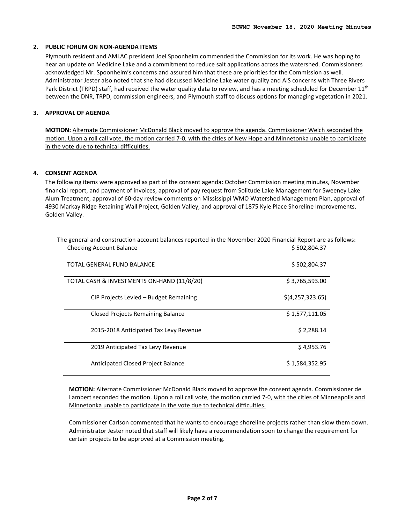# **2. PUBLIC FORUM ON NON-AGENDA ITEMS**

Plymouth resident and AMLAC president Joel Spoonheim commended the Commission for its work. He was hoping to hear an update on Medicine Lake and a commitment to reduce salt applications across the watershed. Commissioners acknowledged Mr. Spoonheim's concerns and assured him that these are priorities for the Commission as well. Administrator Jester also noted that she had discussed Medicine Lake water quality and AIS concerns with Three Rivers Park District (TRPD) staff, had received the water quality data to review, and has a meeting scheduled for December 11<sup>th</sup> between the DNR, TRPD, commission engineers, and Plymouth staff to discuss options for managing vegetation in 2021.

# **3. APPROVAL OF AGENDA**

**MOTION:** Alternate Commissioner McDonald Black moved to approve the agenda. Commissioner Welch seconded the motion. Upon a roll call vote, the motion carried 7-0, with the cities of New Hope and Minnetonka unable to participate in the vote due to technical difficulties.

# **4. CONSENT AGENDA**

The following items were approved as part of the consent agenda: October Commission meeting minutes, November financial report, and payment of invoices, approval of pay request from Solitude Lake Management for Sweeney Lake Alum Treatment, approval of 60-day review comments on Mississippi WMO Watershed Management Plan, approval of 4930 Markay Ridge Retaining Wall Project, Golden Valley, and approval of 1875 Kyle Place Shoreline Improvements, Golden Valley.

| TOTAL GENERAL FUND BALANCE                 | \$502,804.37     |
|--------------------------------------------|------------------|
| TOTAL CASH & INVESTMENTS ON-HAND (11/8/20) | \$3,765,593.00   |
| CIP Projects Levied – Budget Remaining     | \$(4,257,323.65) |
| <b>Closed Projects Remaining Balance</b>   | \$1,577,111.05   |
| 2015-2018 Anticipated Tax Levy Revenue     | \$2,288.14       |
| 2019 Anticipated Tax Levy Revenue          | \$4,953.76       |
| <b>Anticipated Closed Project Balance</b>  | \$1,584,352.95   |

The general and construction account balances reported in the November 2020 Financial Report are as follows: Checking Account Balance **\$ 502,804.37**  $\Diamond$ 

**MOTION:** Alternate Commissioner McDonald Black moved to approve the consent agenda. Commissioner de Lambert seconded the motion. Upon a roll call vote, the motion carried 7-0, with the cities of Minneapolis and Minnetonka unable to participate in the vote due to technical difficulties.

Commissioner Carlson commented that he wants to encourage shoreline projects rather than slow them down. Administrator Jester noted that staff will likely have a recommendation soon to change the requirement for certain projects to be approved at a Commission meeting.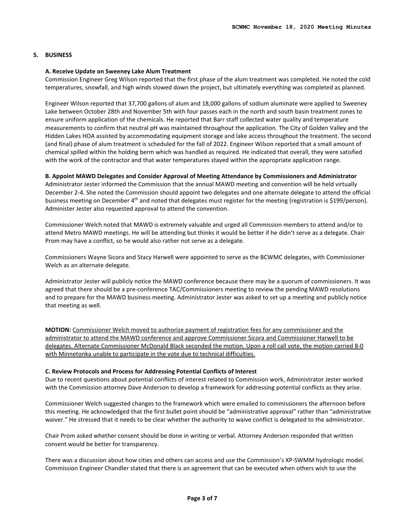# **5. BUSINESS**

#### **A. Receive Update on Sweeney Lake Alum Treatment**

Commission Engineer Greg Wilson reported that the first phase of the alum treatment was completed. He noted the cold temperatures, snowfall, and high winds slowed down the project, but ultimately everything was completed as planned.

Engineer Wilson reported that 37,700 gallons of alum and 18,000 gallons of sodium aluminate were applied to Sweeney Lake between October 28th and November 5th with four passes each in the north and south basin treatment zones to ensure uniform application of the chemicals. He reported that Barr staff collected water quality and temperature measurements to confirm that neutral pH was maintained throughout the application. The City of Golden Valley and the Hidden Lakes HOA assisted by accommodating equipment storage and lake access throughout the treatment. The second (and final) phase of alum treatment is scheduled for the fall of 2022. Engineer Wilson reported that a small amount of chemical spilled within the holding berm which was handled as required. He indicated that overall, they were satisfied with the work of the contractor and that water temperatures stayed within the appropriate application range.

#### **B. Appoint MAWD Delegates and Consider Approval of Meeting Attendance by Commissioners and Administrator**

Administrator Jester informed the Commission that the annual MAWD meeting and convention will be held virtually December 2-4. She noted the Commission should appoint two delegates and one alternate delegate to attend the official business meeting on December 4<sup>th</sup> and noted that delegates must register for the meeting (registration is \$199/person). Administer Jester also requested approval to attend the convention.

Commissioner Welch noted that MAWD is extremely valuable and urged all Commission members to attend and/or to attend Metro MAWD meetings. He will be attending but thinks it would be better if he didn't serve as a delegate. Chair Prom may have a conflict, so he would also rather not serve as a delegate.

Commissioners Wayne Sicora and Stacy Harwell were appointed to serve as the BCWMC delegates, with Commissioner Welch as an alternate delegate.

Administrator Jester will publicly notice the MAWD conference because there may be a quorum of commissioners. It was agreed that there should be a pre-conference TAC/Commissioners meeting to review the pending MAWD resolutions and to prepare for the MAWD business meeting. Administrator Jester was asked to set up a meeting and publicly notice that meeting as well.

**MOTION:** Commissioner Welch moved to authorize payment of registration fees for any commissioner and the administrator to attend the MAWD conference and approve Commissioner Sicora and Commissioner Harwell to be delegates. Alternate Commissioner McDonald Black seconded the motion. Upon a roll call vote, the motion carried 8-0 with Minnetonka unable to participate in the vote due to technical difficulties.

#### **C. Review Protocols and Process for Addressing Potential Conflicts of Interest**

Due to recent questions about potential conflicts of interest related to Commission work, Administrator Jester worked with the Commission attorney Dave Anderson to develop a framework for addressing potential conflicts as they arise.

Commissioner Welch suggested changes to the framework which were emailed to commissioners the afternoon before this meeting. He acknowledged that the first bullet point should be "administrative approval" rather than "administrative waiver." He stressed that it needs to be clear whether the authority to waive conflict is delegated to the administrator.

Chair Prom asked whether consent should be done in writing or verbal. Attorney Anderson responded that written consent would be better for transparency.

There was a discussion about how cities and others can access and use the Commission's XP-SWMM hydrologic model. Commission Engineer Chandler stated that there is an agreement that can be executed when others wish to use the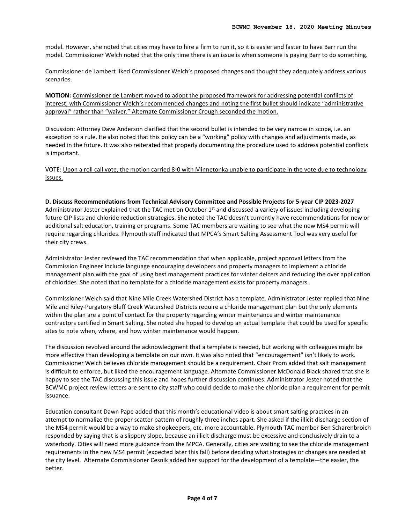model. However, she noted that cities may have to hire a firm to run it, so it is easier and faster to have Barr run the model. Commissioner Welch noted that the only time there is an issue is when someone is paying Barr to do something.

Commissioner de Lambert liked Commissioner Welch's proposed changes and thought they adequately address various scenarios.

**MOTION:** Commissioner de Lambert moved to adopt the proposed framework for addressing potential conflicts of interest, with Commissioner Welch's recommended changes and noting the first bullet should indicate "administrative approval" rather than "waiver." Alternate Commissioner Crough seconded the motion.

Discussion: Attorney Dave Anderson clarified that the second bullet is intended to be very narrow in scope, i.e. an exception to a rule. He also noted that this policy can be a "working" policy with changes and adjustments made, as needed in the future. It was also reiterated that properly documenting the procedure used to address potential conflicts is important.

VOTE: Upon a roll call vote, the motion carried 8-0 with Minnetonka unable to participate in the vote due to technology issues.

#### **D. Discuss Recommendations from Technical Advisory Committee and Possible Projects for 5-year CIP 2023-2027**

Administrator Jester explained that the TAC met on October  $1<sup>st</sup>$  and discussed a variety of issues including developing future CIP lists and chloride reduction strategies. She noted the TAC doesn't currently have recommendations for new or additional salt education, training or programs. Some TAC members are waiting to see what the new MS4 permit will require regarding chlorides. Plymouth staff indicated that MPCA's Smart Salting Assessment Tool was very useful for their city crews.

Administrator Jester reviewed the TAC recommendation that when applicable, project approval letters from the Commission Engineer include language encouraging developers and property managers to implement a chloride management plan with the goal of using best management practices for winter deicers and reducing the over application of chlorides. She noted that no template for a chloride management exists for property managers.

Commissioner Welch said that Nine Mile Creek Watershed District has a template. Administrator Jester replied that Nine Mile and Riley-Purgatory Bluff Creek Watershed Districts require a chloride management plan but the only elements within the plan are a point of contact for the property regarding winter maintenance and winter maintenance contractors certified in Smart Salting. She noted she hoped to develop an actual template that could be used for specific sites to note when, where, and how winter maintenance would happen.

The discussion revolved around the acknowledgment that a template is needed, but working with colleagues might be more effective than developing a template on our own. It was also noted that "encouragement" isn't likely to work. Commissioner Welch believes chloride management should be a requirement. Chair Prom added that salt management is difficult to enforce, but liked the encouragement language. Alternate Commissioner McDonald Black shared that she is happy to see the TAC discussing this issue and hopes further discussion continues. Administrator Jester noted that the BCWMC project review letters are sent to city staff who could decide to make the chloride plan a requirement for permit issuance.

Education consultant Dawn Pape added that this month's educational video is about smart salting practices in an attempt to normalize the proper scatter pattern of roughly three inches apart. She asked if the illicit discharge section of the MS4 permit would be a way to make shopkeepers, etc. more accountable. Plymouth TAC member Ben Scharenbroich responded by saying that is a slippery slope, because an illicit discharge must be excessive and conclusively drain to a waterbody. Cities will need more guidance from the MPCA. Generally, cities are waiting to see the chloride management requirements in the new MS4 permit (expected later this fall) before deciding what strategies or changes are needed at the city level. Alternate Commissioner Cesnik added her support for the development of a template—the easier, the better.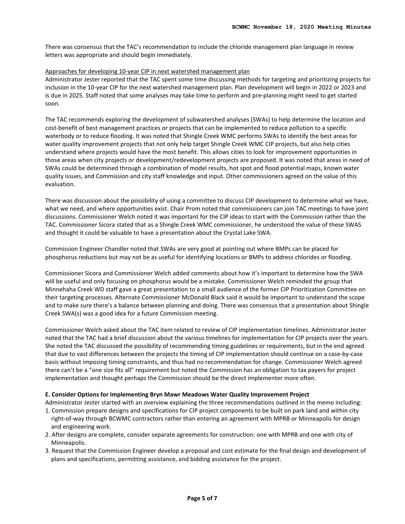There was consensus that the TAC's recommendation to include the chloride management plan language in review letters was appropriate and should begin immediately.

# Approaches for developing 10-year CIP in next watershed management plan

Administrator Jester reported that the TAC spent some time discussing methods for targeting and prioritizing projects for inclusion in the 10-year CIP for the next watershed management plan. Plan development will begin in 2022 or 2023 and is due in 2025. Staff noted that some analyses may take time to perform and pre-planning might need to get started soon.

The TAC recommends exploring the development of subwatershed analyses (SWAs) to help determine the location and cost-benefit of best management practices or projects that can be implemented to reduce pollution to a specific waterbody or to reduce flooding. It was noted that Shingle Creek WMC performs SWAs to identify the best areas for water quality improvement projects that not only help target Shingle Creek WMC CIP projects, but also help cities understand where projects would have the most benefit. This allows cities to look for improvement opportunities in those areas when city projects or development/redevelopment projects are proposed. It was noted that areas in need of SWAs could be determined through a combination of model results, hot spot and flood potential maps, known water quality issues, and Commission and city staff knowledge and input. Other commissioners agreed on the value of this evaluation.

There was discussion about the possibility of using a committee to discuss CIP development to determine what we have, what we need, and where opportunities exist. Chair Prom noted that commissioners can join TAC meetings to have joint discussions. Commissioner Welch noted it was important for the CIP ideas to start with the Commission rather than the TAC. Commissioner Sicora stated that as a Shingle Creek WMC commissioner, he understood the value of these SWAS and thought it could be valuable to have a presentation about the Crystal Lake SWA.

Commission Engineer Chandler noted that SWAs are very good at pointing out where BMPs can be placed for phosphorus reductions but may not be as useful for identifying locations or BMPs to address chlorides or flooding.

Commissioner Sicora and Commissioner Welch added comments about how it's important to determine how the SWA will be useful and only focusing on phosphorus would be a mistake. Commissioner Welch reminded the group that Minnehaha Creek WD staff gave a great presentation to a small audience of the former CIP Prioritization Committee on their targeting processes. Alternate Commissioner McDonald Black said it would be important to understand the scope and to make sure there's a balance between planning and doing. There was consensus that a presentation about Shingle Creek SWA(s) was a good idea for a future Commission meeting.

Commissioner Welch asked about the TAC item related to review of CIP implementation timelines. Administrator Jester noted that the TAC had a brief discussion about the various timelines for implementation for CIP projects over the years. She noted the TAC discussed the possibility of recommending timing guidelines or requirements, but in the end agreed that due to vast differences between the projects the timing of CIP implementation should continue on a case-by-case basis without imposing timing constraints, and thus had no recommendation for change. Commissioner Welch agreed there can't be a "one size fits all" requirement but noted the Commission has an obligation to tax payers for project implementation and thought perhaps the Commission should be the direct implementer more often.

#### **E. Consider Options for Implementing Bryn Mawr Meadows Water Quality Improvement Project**

Administrator Jester started with an overview explaining the three recommendations outlined in the memo including:

- 1. Commission prepare designs and specifications for CIP project components to be built on park land and within city right-of-way through BCWMC contractors rather than entering an agreement with MPRB or Minneapolis for design and engineering work.
- 2. After designs are complete, consider separate agreements for construction: one with MPRB and one with city of Minneapolis.
- 3. Request that the Commission Engineer develop a proposal and cost estimate for the final design and development of plans and specifications, permitting assistance, and bidding assistance for the project.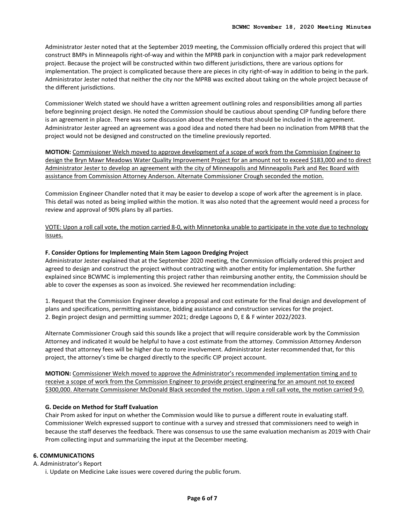Administrator Jester noted that at the September 2019 meeting, the Commission officially ordered this project that will construct BMPs in Minneapolis right-of-way and within the MPRB park in conjunction with a major park redevelopment project. Because the project will be constructed within two different jurisdictions, there are various options for implementation. The project is complicated because there are pieces in city right-of-way in addition to being in the park. Administrator Jester noted that neither the city nor the MPRB was excited about taking on the whole project because of the different jurisdictions.

Commissioner Welch stated we should have a written agreement outlining roles and responsibilities among all parties before beginning project design. He noted the Commission should be cautious about spending CIP funding before there is an agreement in place. There was some discussion about the elements that should be included in the agreement. Administrator Jester agreed an agreement was a good idea and noted there had been no inclination from MPRB that the project would not be designed and constructed on the timeline previously reported.

**MOTION:** Commissioner Welch moved to approve development of a scope of work from the Commission Engineer to design the Bryn Mawr Meadows Water Quality Improvement Project for an amount not to exceed \$183,000 and to direct Administrator Jester to develop an agreement with the city of Minneapolis and Minneapolis Park and Rec Board with assistance from Commission Attorney Anderson. Alternate Commissioner Crough seconded the motion.

Commission Engineer Chandler noted that it may be easier to develop a scope of work after the agreement is in place. This detail was noted as being implied within the motion. It was also noted that the agreement would need a process for review and approval of 90% plans by all parties.

VOTE: Upon a roll call vote, the motion carried 8-0, with Minnetonka unable to participate in the vote due to technology issues.

# **F. Consider Options for Implementing Main Stem Lagoon Dredging Project**

Administrator Jester explained that at the September 2020 meeting, the Commission officially ordered this project and agreed to design and construct the project without contracting with another entity for implementation. She further explained since BCWMC is implementing this project rather than reimbursing another entity, the Commission should be able to cover the expenses as soon as invoiced. She reviewed her recommendation including:

1. Request that the Commission Engineer develop a proposal and cost estimate for the final design and development of plans and specifications, permitting assistance, bidding assistance and construction services for the project. 2. Begin project design and permitting summer 2021; dredge Lagoons D, E & F winter 2022/2023.

Alternate Commissioner Crough said this sounds like a project that will require considerable work by the Commission Attorney and indicated it would be helpful to have a cost estimate from the attorney. Commission Attorney Anderson agreed that attorney fees will be higher due to more involvement. Administrator Jester recommended that, for this project, the attorney's time be charged directly to the specific CIP project account.

**MOTION:** Commissioner Welch moved to approve the Administrator's recommended implementation timing and to receive a scope of work from the Commission Engineer to provide project engineering for an amount not to exceed \$300,000. Alternate Commissioner McDonald Black seconded the motion. Upon a roll call vote, the motion carried 9-0.

# **G. Decide on Method for Staff Evaluation**

Chair Prom asked for input on whether the Commission would like to pursue a different route in evaluating staff. Commissioner Welch expressed support to continue with a survey and stressed that commissioners need to weigh in because the staff deserves the feedback. There was consensus to use the same evaluation mechanism as 2019 with Chair Prom collecting input and summarizing the input at the December meeting.

#### **6. COMMUNICATIONS**

A. Administrator's Report

i. Update on Medicine Lake issues were covered during the public forum.